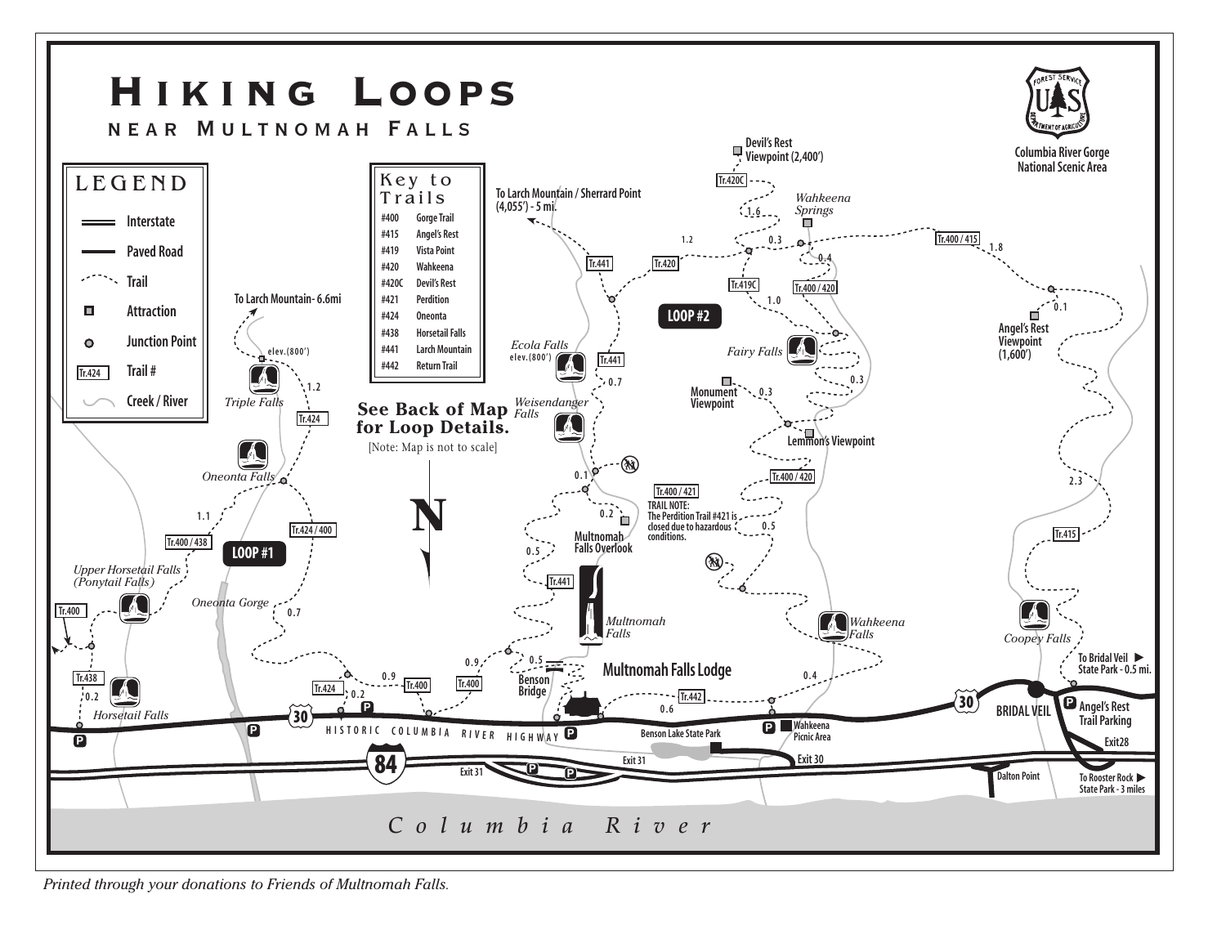

*Printed through your donations to Friends of Multnomah Falls.*